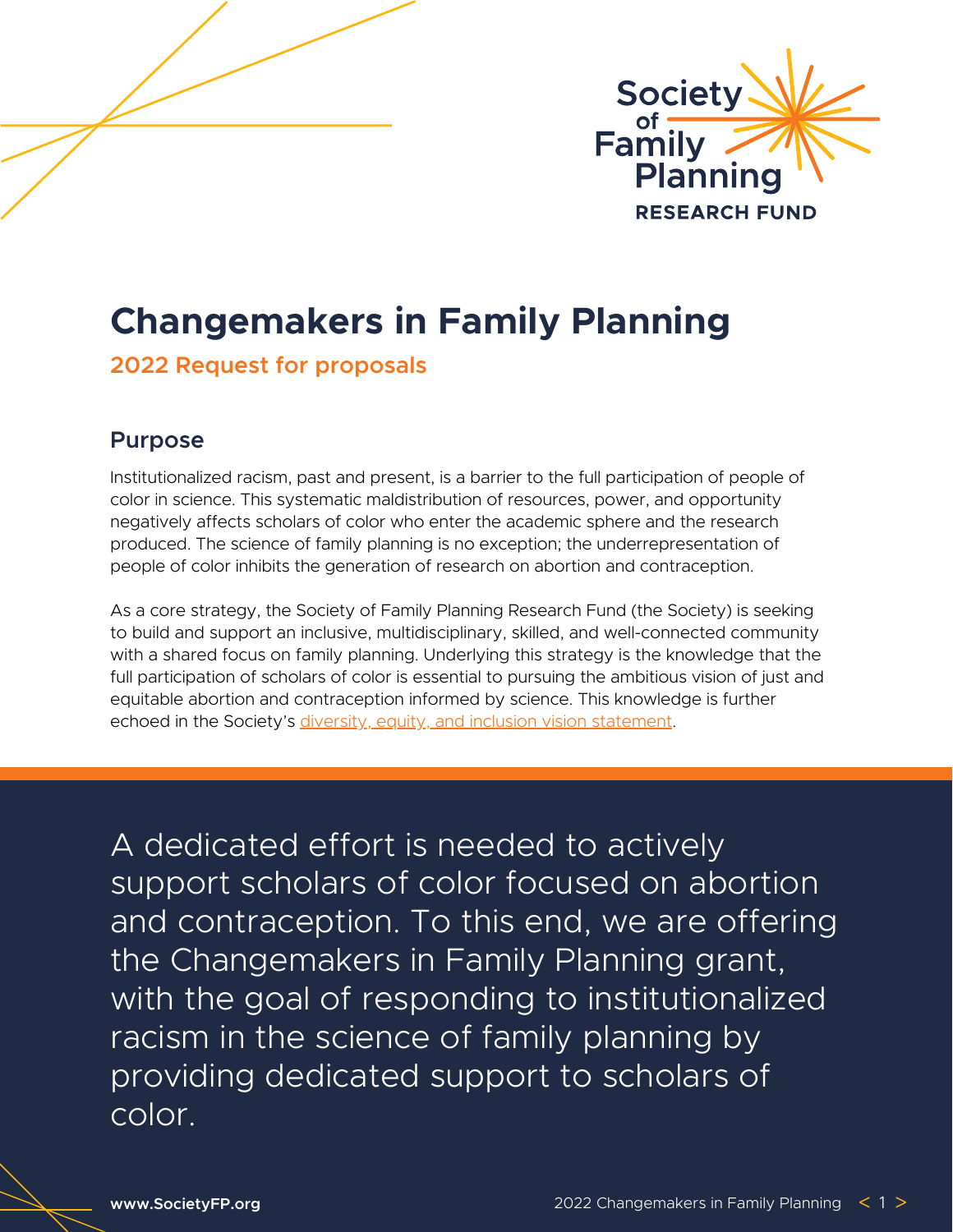

# **Changemakers in Family Planning**

### **2022 Request for proposals**

### **Purpose**

Institutionalized racism, past and present, is a barrier to the full participation of people of color in science. This systematic maldistribution of resources, power, and opportunity negatively affects scholars of color who enter the academic sphere and the research produced. The science of family planning is no exception; the underrepresentation of people of color inhibits the generation of research on abortion and contraception.

As a core strategy, the Society of Family Planning Research Fund (the Society) is seeking to build and support an inclusive, multidisciplinary, skilled, and well-connected community with a shared focus on family planning. Underlying this strategy is the knowledge that the full participation of scholars of color is essential to pursuing the ambitious vision of just and equitable abortion and contraception informed by science. This knowledge is further echoe[d](https://www.societyfp.org/wp-content/uploads/2021/02/DEIVisionStatement.pdf) in the Society's diversity, equity, and inclusion vision [statement.](https://www.societyfp.org/wp-content/uploads/2021/02/DEIVisionStatement.pdf)

A dedicated effort is needed to actively support scholars of color focused on abortion and contraception. To this end, we are offering the Changemakers in Family Planning grant, with the goal of responding to institutionalized racism in the science of family planning by providing dedicated support to scholars of color.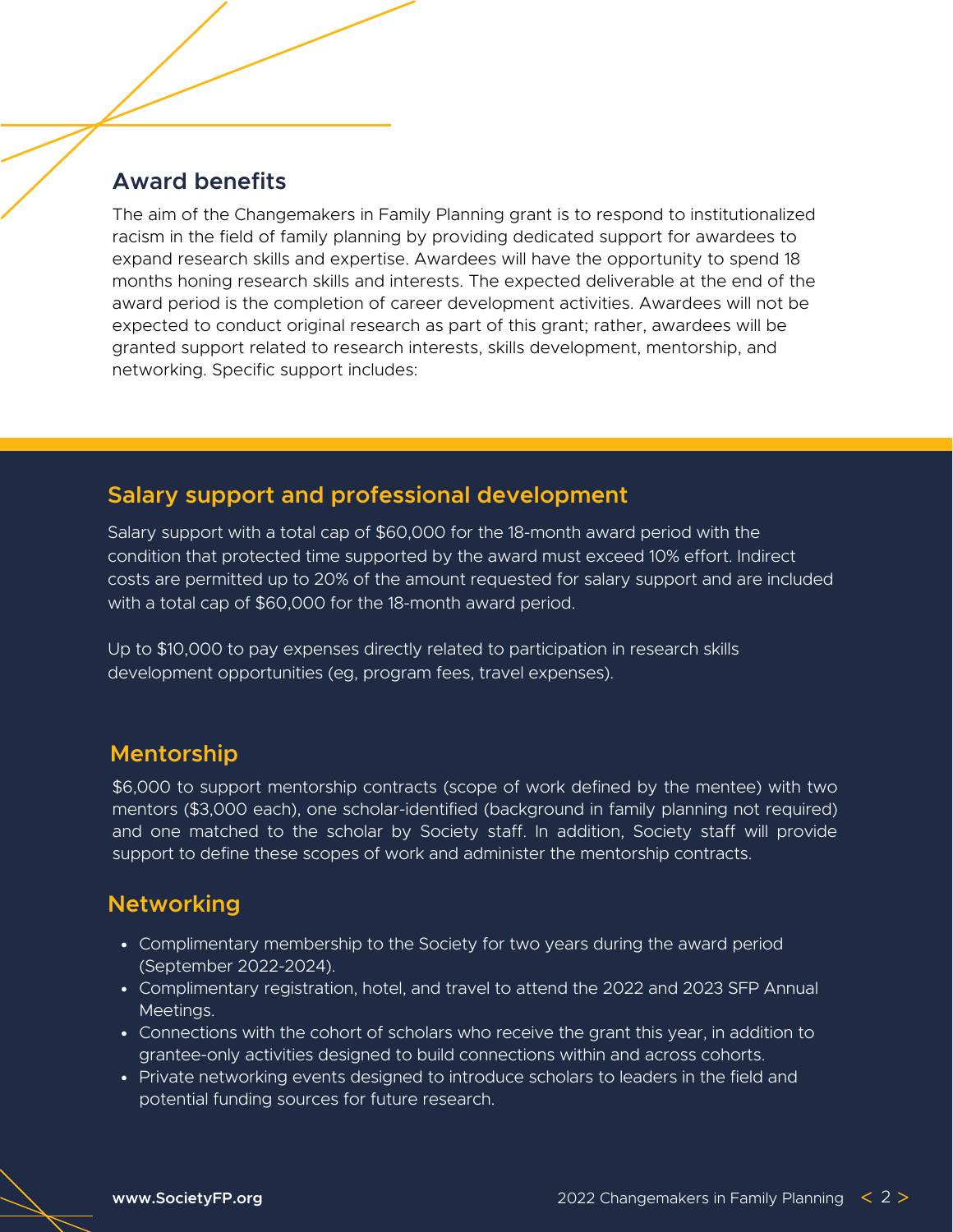### **Award benefits**

The aim of the Changemakers in Family Planning grant is to respond to institutionalized racism in the field of family planning by providing dedicated support for awardees to expand research skills and expertise. Awardees will have the opportunity to spend 18 months honing research skills and interests. The expected deliverable at the end of the award period is the completion of career development activities. Awardees will not be expected to conduct original research as part of this grant; rather, awardees will be granted support related to research interests, skills development, mentorship, and networking. Specific support includes:

### **Salary support and professional development**

Salary support with a total cap of \$60,000 for the 18-month award period with the condition that protected time supported by the award must exceed 10% effort. Indirect costs are permitted up to 20% of the amount requested for salary support and are included with a total cap of \$60,000 for the 18-month award period.

Up to \$10,000 to pay expenses directly related to participation in research skills development opportunities (eg, program fees, travel expenses).

### **Mentorship**

\$6,000 to support mentorship contracts (scope of work defined by the mentee) with two mentors (\$3,000 each), one scholar-identified (background in family planning not required) and one matched to the scholar by Society staff. In addition, Society staff will provide support to define these scopes of work and administer the mentorship contracts.

### **Networking**

- Complimentary membership to the Society for two years during the award period (September 2022-2024).
- Complimentary registration, hotel, and travel to attend the 2022 and 2023 SFP Annual Meetings.
- Connections with the cohort of scholars who receive the grant this year, in addition to grantee-only activities designed to build connections within and across cohorts.
- Private networking events designed to introduce scholars to leaders in the field and potential funding sources for future research.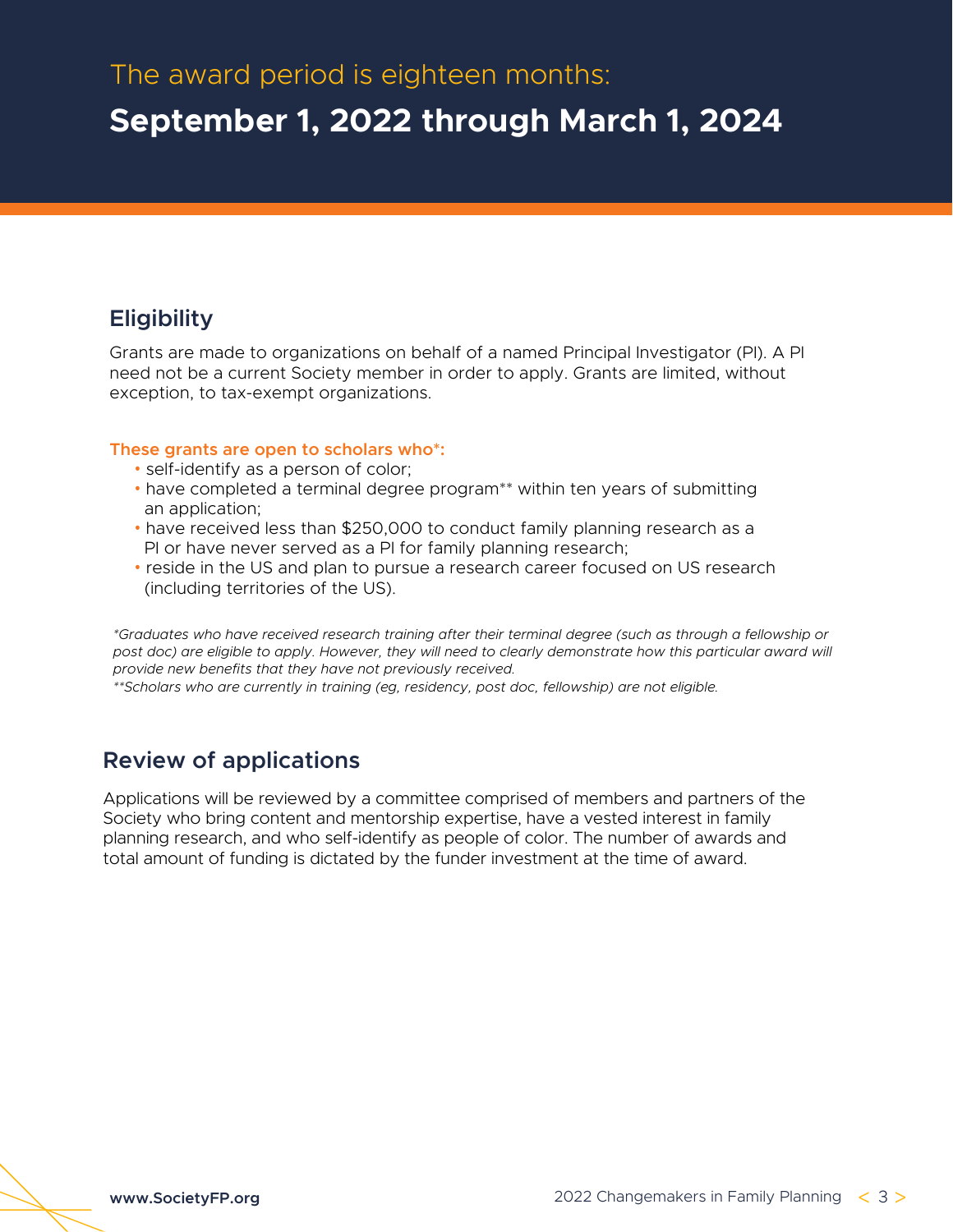## **September 1, 2022 through March 1, 2024**

### **Eligibility**

Grants are made to organizations on behalf of a named Principal Investigator (PI). A PI need not be a current Society member in order to apply. Grants are limited, without exception, to tax-exempt organizations.

#### **These grants are open to scholars who\*:**

- self-identify as a person of color;
- have completed a terminal degree program\*\* within ten years of submitting an application;
- have received less than \$250,000 to conduct family planning research as a PI or have never served as a PI for family planning research;
- reside in the US and plan to pursue a research career focused on US research (including territories of the US).

*\*Graduates who have received research training after their terminal degree (such as through a fellowship or* post doc) are eligible to apply. However, they will need to clearly demonstrate how this particular award will *provide new benefits that they have not previously received.*

*\*\*Scholars who are currently in training (eg, residency, post doc, fellowship) are not eligible.*

### **Review of applications**

Applications will be reviewed by a committee comprised of members and partners of the Society who bring content and mentorship expertise, have a vested interest in family planning research, and who self-identify as people of color. The number of awards and total amount of funding is dictated by the funder investment at the time of award.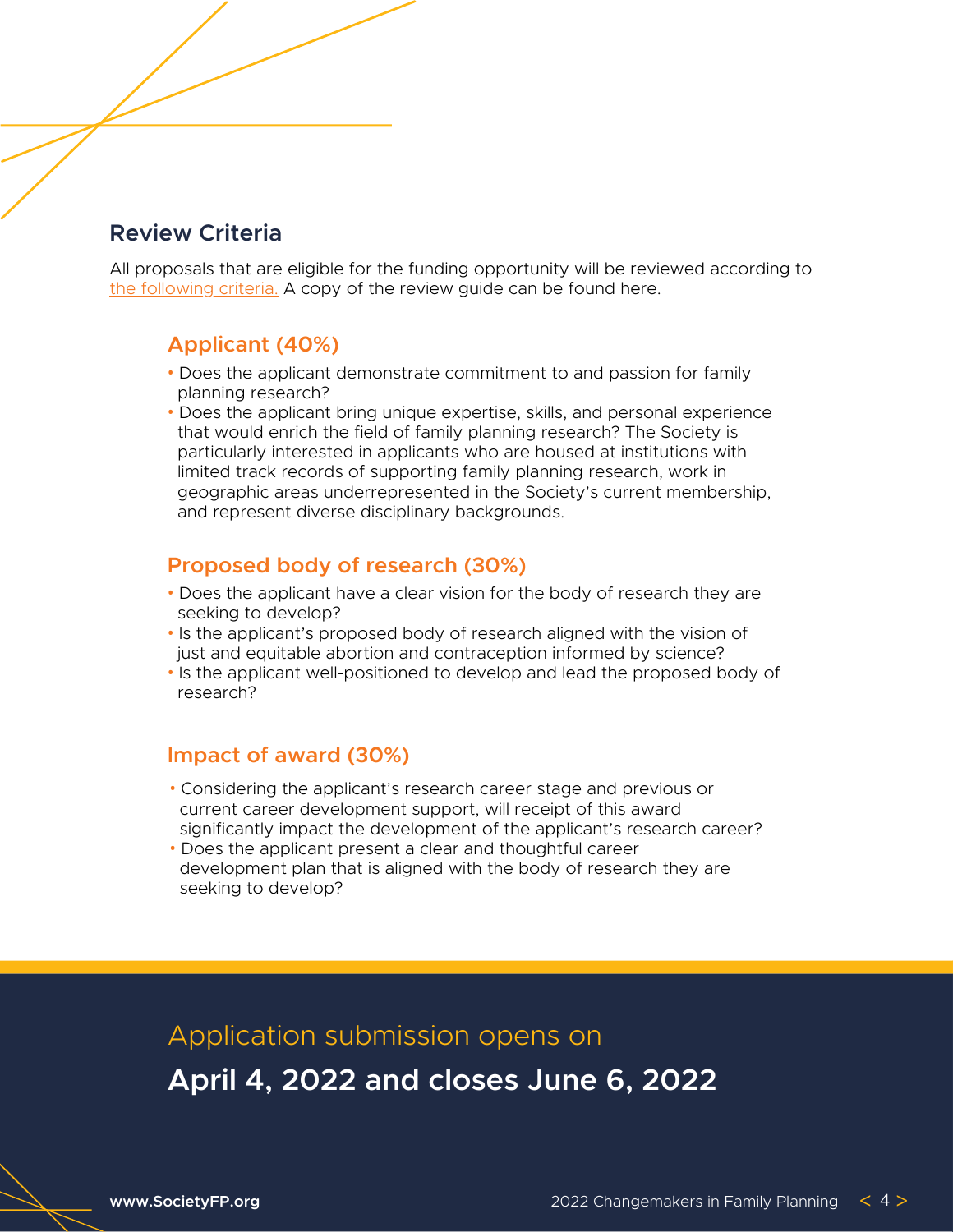### **Review Criteria**

All proposals that are eligible for the funding opportunity will be reviewed according to [the following criteria.](https://societyfp.org/wp-content/uploads/2022/03/2022-Changemakers-Review-Guide.pdf) A copy of the review guide can be found here.

### **Applicant (40%)**

- Does the applicant demonstrate commitment to and passion for family planning research?
- Does the applicant bring unique expertise, skills, and personal experience that would enrich the field of family planning research? The Society is particularly interested in applicants who are housed at institutions with limited track records of supporting family planning research, work in geographic areas underrepresented in the Society's current membership, and represent diverse disciplinary backgrounds.

### **Proposed body of research (30%)**

- Does the applicant have a clear vision for the body of research they are seeking to develop?
- Is the applicant's proposed body of research aligned with the vision of just and equitable abortion and contraception informed by science?
- Is the applicant well-positioned to develop and lead the proposed body of research?

#### **Impact of award (30%)**

- Considering the applicant's research career stage and previous or current career development support, will receipt of this award significantly impact the development of the applicant's research career?
- Does the applicant present a clear and thoughtful career development plan that is aligned with the body of research they are seeking to develop?

Application submission opens on

**April 4, 2022 and closes June 6, 2022**

**[www.SocietyFP.org](https://www.societyfp.org/)**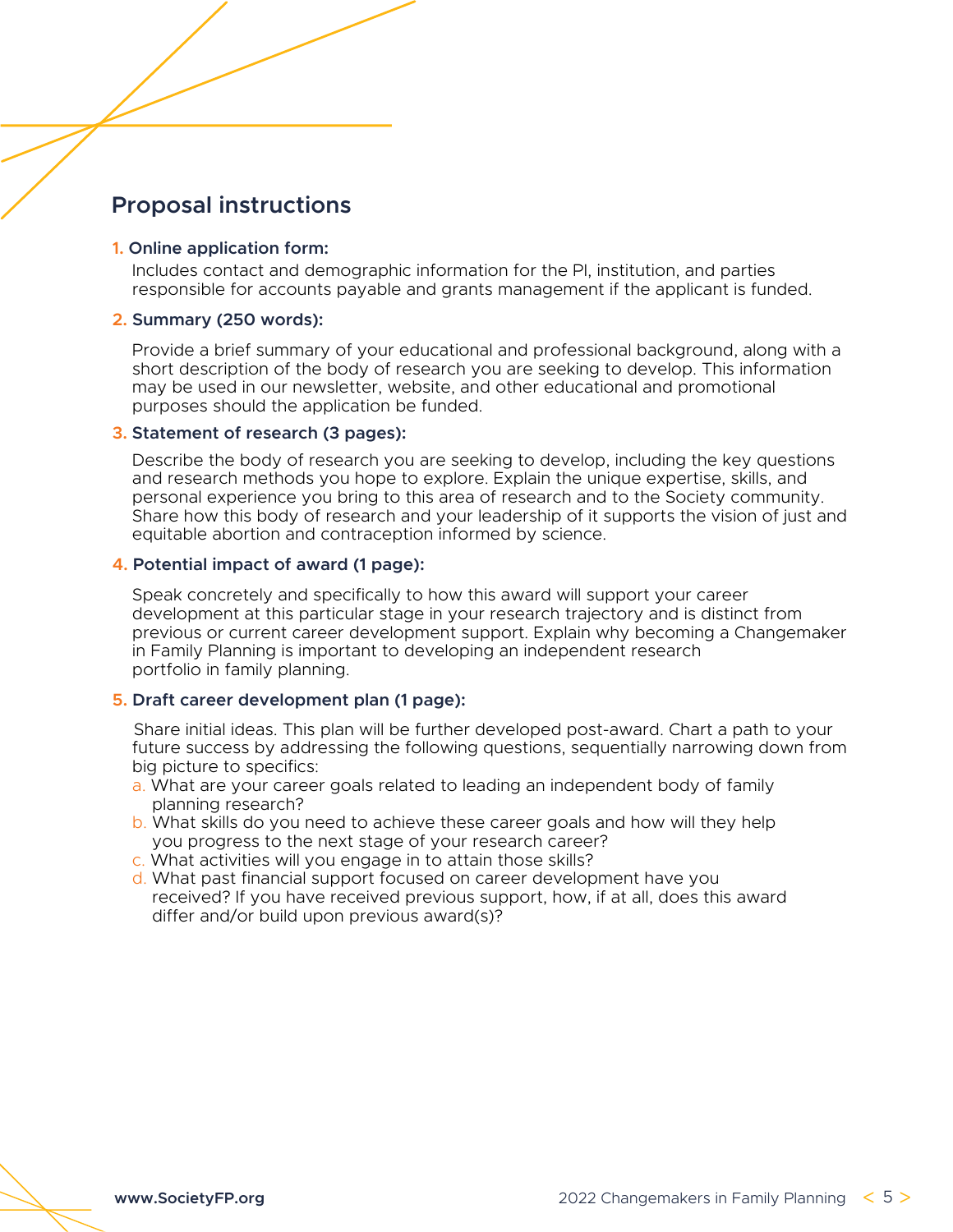### **Proposal instructions**

#### **1. [O](https://webportalapp.com/sp/home/sfp_changemakers-grant_portal)nline [application](https://webportalapp.com/sp/home/sfp_changemakers-grant_portal) form:**

Includes contact and demographic information for the PI, institution, and parties responsible for accounts payable and grants management if the applicant is funded.

#### **2. Summary (250 words):**

Provide a brief summary of your educational and professional background, along with a short description of the body of research you are seeking to develop. This information may be used in our newsletter, website, and other educational and promotional purposes should the application be funded.

#### **3. Statement of research (3 pages):**

Describe the body of research you are seeking to develop, including the key questions and research methods you hope to explore. Explain the unique expertise, skills, and personal experience you bring to this area of research and to the Society community. Share how this body of research and your leadership of it supports the vision of just and equitable abortion and contraception informed by science.

#### **4. Potential impact of award (1 page):**

Speak concretely and specifically to how this award will support your career development at this particular stage in your research trajectory and is distinct from previous or current career development support. Explain why becoming a Changemaker in Family Planning is important to developing an independent research portfolio in family planning.

#### **5. Draft career development plan (1 page):**

Share initial ideas. This plan will be further developed post-award. Chart a path to your future success by addressing the following questions, sequentially narrowing down from big picture to specifics:

- a. What are your career goals related to leading an independent body of family planning research?
- b. What skills do you need to achieve these career goals and how will they help you progress to the next stage of your research career?
- c. What activities will you engage in to attain those skills?
- d. What past financial support focused on career development have you received? If you have received previous support, how, if at all, does this award differ and/or build upon previous award(s)?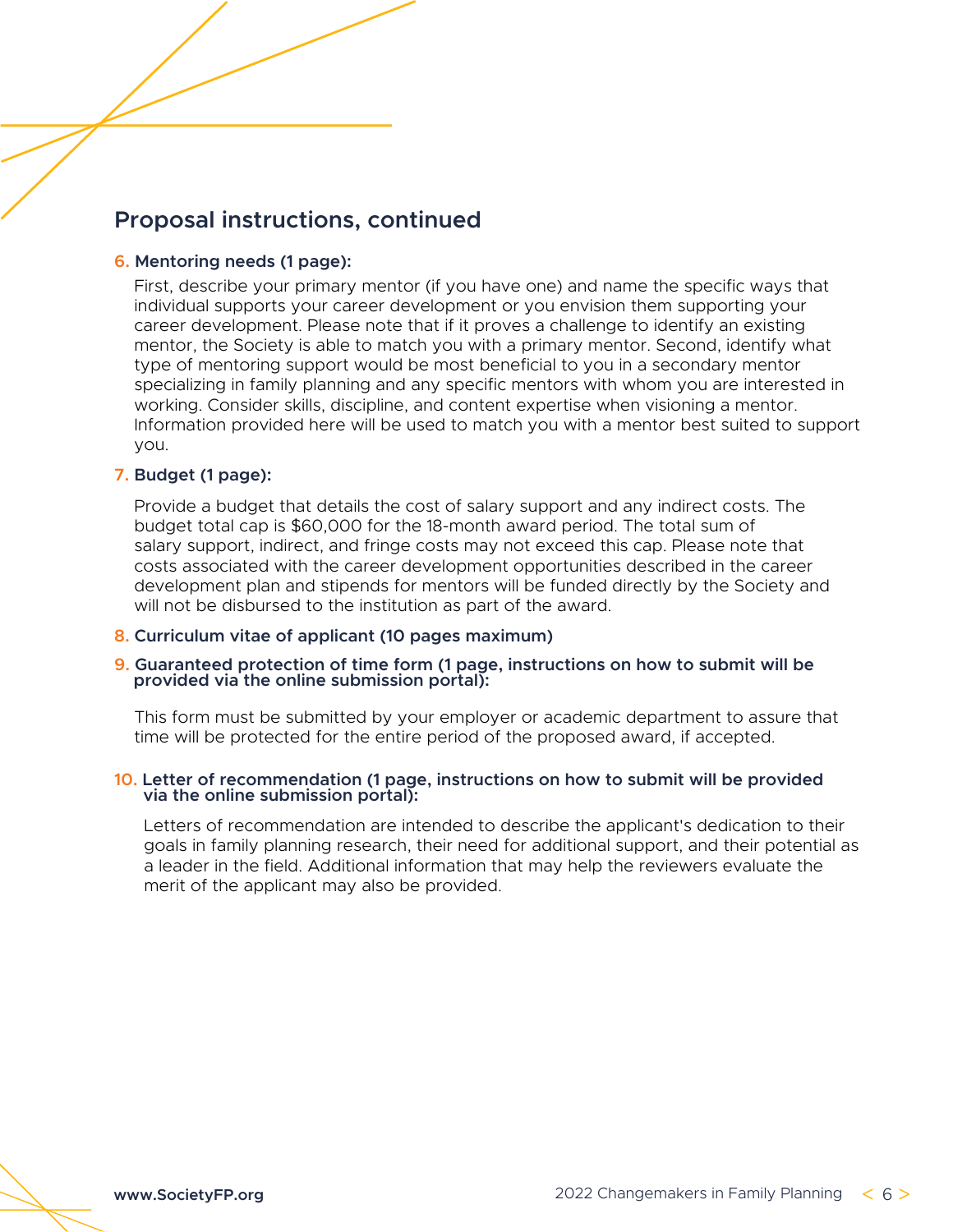### **Proposal instructions, continued**

#### **6. Mentoring needs (1 page):**

First, describe your primary mentor (if you have one) and name the specific ways that individual supports your career development or you envision them supporting your career development. Please note that if it proves a challenge to identify an existing mentor, the Society is able to match you with a primary mentor. Second, identify what type of mentoring support would be most beneficial to you in a secondary mentor specializing in family planning and any specific mentors with whom you are interested in working. Consider skills, discipline, and content expertise when visioning a mentor. Information provided here will be used to match you with a mentor best suited to support you.

#### **7. Budget (1 page):**

Provide a budget that details the cost of salary support and any indirect costs. The budget total cap is \$60,000 for the 18-month award period. The total sum of salary support, indirect, and fringe costs may not exceed this cap. Please note that costs associated with the career development opportunities described in the career development plan and stipends for mentors will be funded directly by the Society and will not be disbursed to the institution as part of the award.

#### **8. Curriculum vitae of applicant (10 pages maximum)**

#### **9. Guaranteed protection of time form (1 page, instructions on how to submit will be provided via the online submission portal):**

This form must be submitted by your employer or academic department to assure that time will be protected for the entire period of the proposed award, if accepted.

#### **10. Letter of recommendation (1 page, instructions on how to submit will be provided via the online submission portal):**

Letters of recommendation are intended to describe the applicant's dedication to their goals in family planning research, their need for additional support, and their potential as a leader in the field. Additional information that may help the reviewers evaluate the merit of the applicant may also be provided.